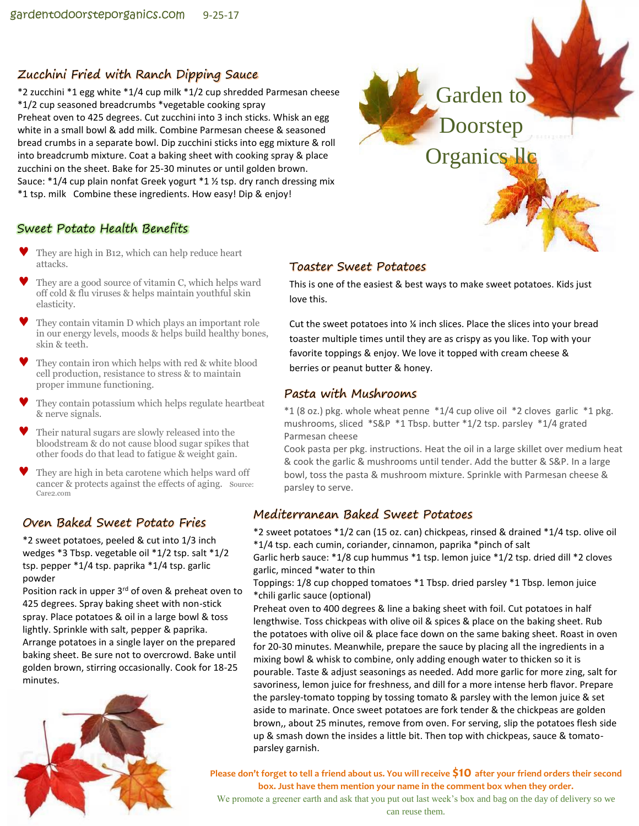# Zucchini Fried with Ranch Dipping Sauce

\*2 zucchini \*1 egg white \*1/4 cup milk \*1/2 cup shredded Parmesan cheese \*1/2 cup seasoned breadcrumbs \*vegetable cooking spray Preheat oven to 425 degrees. Cut zucchini into 3 inch sticks. Whisk an egg white in a small bowl & add milk. Combine Parmesan cheese & seasoned bread crumbs in a separate bowl. Dip zucchini sticks into egg mixture & roll into breadcrumb mixture. Coat a baking sheet with cooking spray & place zucchini on the sheet. Bake for 25-30 minutes or until golden brown. Sauce:  $*1/4$  cup plain nonfat Greek yogurt  $*1 \frac{1}{2}$  tsp. dry ranch dressing mix \*1 tsp. milk Combine these ingredients. How easy! Dip & enjoy!



## Sweet Potato Health Benefits

- They are high in B12, which can help reduce heart attacks.
- They are a good source of vitamin C, which helps ward off cold & flu viruses & helps maintain youthful skin elasticity.
- They contain vitamin D which plays an important role in our energy levels, moods & helps build healthy bones, skin & teeth.
- They contain iron which helps with red & white blood cell production, resistance to stress & to maintain proper immune functioning.
- They contain potassium which helps regulate heartbeat & nerve signals.
- Their natural sugars are slowly released into the bloodstream & do not cause blood sugar spikes that other foods do that lead to fatigue & weight gain.
- They are high in beta carotene which helps ward off cancer & protects against the effects of aging. Source: Care2.com

## Oven Baked Sweet Potato Fries

\*2 sweet potatoes, peeled & cut into 1/3 inch wedges \*3 Tbsp. vegetable oil \*1/2 tsp. salt \*1/2 tsp. pepper \*1/4 tsp. paprika \*1/4 tsp. garlic powder

Position rack in upper 3<sup>rd</sup> of oven & preheat oven to 425 degrees. Spray baking sheet with non-stick spray. Place potatoes & oil in a large bowl & toss lightly. Sprinkle with salt, pepper & paprika. Arrange potatoes in a single layer on the prepared baking sheet. Be sure not to overcrowd. Bake until golden brown, stirring occasionally. Cook for 18-25 minutes.



#### Toaster Sweet Potatoes

This is one of the easiest & best ways to make sweet potatoes. Kids just love this.

Cut the sweet potatoes into ¼ inch slices. Place the slices into your bread toaster multiple times until they are as crispy as you like. Top with your favorite toppings & enjoy. We love it topped with cream cheese & berries or peanut butter & honey.

### Pasta with Mushrooms

\*1 (8 oz.) pkg. whole wheat penne \*1/4 cup olive oil \*2 cloves garlic \*1 pkg. mushrooms, sliced \*S&P \*1 Tbsp. butter \*1/2 tsp. parsley \*1/4 grated Parmesan cheese

Cook pasta per pkg. instructions. Heat the oil in a large skillet over medium heat & cook the garlic & mushrooms until tender. Add the butter & S&P. In a large bowl, toss the pasta & mushroom mixture. Sprinkle with Parmesan cheese & parsley to serve.

## Mediterranean Baked Sweet Potatoes

\*2 sweet potatoes \*1/2 can (15 oz. can) chickpeas, rinsed & drained \*1/4 tsp. olive oil \*1/4 tsp. each cumin, coriander, cinnamon, paprika \*pinch of salt

Garlic herb sauce: \*1/8 cup hummus \*1 tsp. lemon juice \*1/2 tsp. dried dill \*2 cloves garlic, minced \*water to thin

Toppings: 1/8 cup chopped tomatoes \*1 Tbsp. dried parsley \*1 Tbsp. lemon juice \*chili garlic sauce (optional)

Preheat oven to 400 degrees & line a baking sheet with foil. Cut potatoes in half lengthwise. Toss chickpeas with olive oil & spices & place on the baking sheet. Rub the potatoes with olive oil & place face down on the same baking sheet. Roast in oven for 20-30 minutes. Meanwhile, prepare the sauce by placing all the ingredients in a mixing bowl & whisk to combine, only adding enough water to thicken so it is pourable. Taste & adjust seasonings as needed. Add more garlic for more zing, salt for savoriness, lemon juice for freshness, and dill for a more intense herb flavor. Prepare the parsley-tomato topping by tossing tomato & parsley with the lemon juice & set aside to marinate. Once sweet potatoes are fork tender & the chickpeas are golden brown,, about 25 minutes, remove from oven. For serving, slip the potatoes flesh side up & smash down the insides a little bit. Then top with chickpeas, sauce & tomatoparsley garnish.

**Please don't forget to tell a friend about us. You will receive \$10 after your friend orders their second box. Just have them mention your name in the comment box when they order.**

We promote a greener earth and ask that you put out last week's box and bag on the day of delivery so we can reuse them.